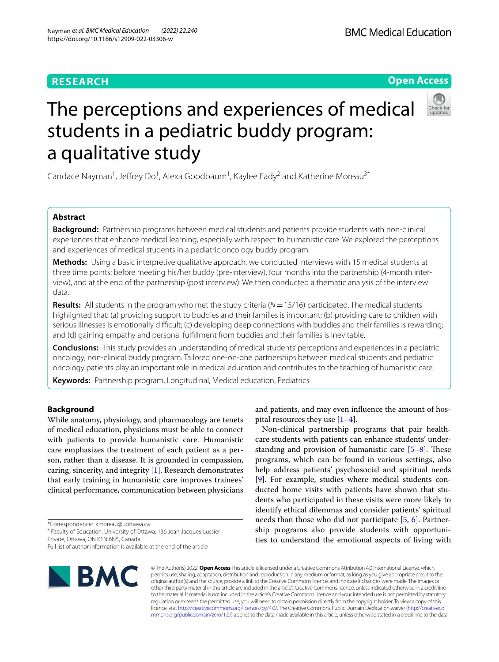# **RESEARCH**

# **Open Access**



# The perceptions and experiences of medical students in a pediatric buddy program: a qualitative study

Candace Nayman<sup>1</sup>, Jeffrey Do<sup>1</sup>, Alexa Goodbaum<sup>1</sup>, Kaylee Eady<sup>2</sup> and Katherine Moreau<sup>3\*</sup>

# **Abstract**

**Background:** Partnership programs between medical students and patients provide students with non-clinical experiences that enhance medical learning, especially with respect to humanistic care. We explored the perceptions and experiences of medical students in a pediatric oncology buddy program.

**Methods:** Using a basic interpretive qualitative approach, we conducted interviews with 15 medical students at three time points: before meeting his/her buddy (pre-interview), four months into the partnership (4-month interview), and at the end of the partnership (post interview). We then conducted a thematic analysis of the interview data.

**Results:** All students in the program who met the study criteria (*N*=15/16) participated. The medical students highlighted that: (a) providing support to buddies and their families is important; (b) providing care to children with serious illnesses is emotionally difficult; (c) developing deep connections with buddies and their families is rewarding; and (d) gaining empathy and personal fulfllment from buddies and their families is inevitable.

**Conclusions:** This study provides an understanding of medical students' perceptions and experiences in a pediatric oncology, non-clinical buddy program. Tailored one-on-one partnerships between medical students and pediatric oncology patients play an important role in medical education and contributes to the teaching of humanistic care.

**Keywords:** Partnership program, Longitudinal, Medical education, Pediatrics

# **Background**

While anatomy, physiology, and pharmacology are tenets of medical education, physicians must be able to connect with patients to provide humanistic care. Humanistic care emphasizes the treatment of each patient as a person, rather than a disease. It is grounded in compassion, caring, sincerity, and integrity [\[1](#page-8-0)]. Research demonstrates that early training in humanistic care improves trainees' clinical performance, communication between physicians

\*Correspondence: kmoreau@uottawa.ca

<sup>3</sup> Faculty of Education, University of Ottawa, 136 Jean-Jacques-Lussier Private, Ottawa, ON K1N 6N5, Canada

Full list of author information is available at the end of the article



and patients, and may even infuence the amount of hospital resources they use [[1–](#page-8-0)[4](#page-8-1)].

Non-clinical partnership programs that pair healthcare students with patients can enhance students' understanding and provision of humanistic care  $[5-8]$  $[5-8]$ . These programs, which can be found in various settings, also help address patients' psychosocial and spiritual needs [[9\]](#page-8-4). For example, studies where medical students conducted home visits with patients have shown that students who participated in these visits were more likely to identify ethical dilemmas and consider patients' spiritual needs than those who did not participate [\[5](#page-8-2), [6](#page-8-5)]. Partnership programs also provide students with opportunities to understand the emotional aspects of living with

© The Author(s) 2022. **Open Access** This article is licensed under a Creative Commons Attribution 4.0 International License, which permits use, sharing, adaptation, distribution and reproduction in any medium or format, as long as you give appropriate credit to the original author(s) and the source, provide a link to the Creative Commons licence, and indicate if changes were made. The images or other third party material in this article are included in the article's Creative Commons licence, unless indicated otherwise in a credit line to the material. If material is not included in the article's Creative Commons licence and your intended use is not permitted by statutory regulation or exceeds the permitted use, you will need to obtain permission directly from the copyright holder. To view a copy of this licence, visit [http://creativecommons.org/licenses/by/4.0/.](http://creativecommons.org/licenses/by/4.0/) The Creative Commons Public Domain Dedication waiver ([http://creativeco](http://creativecommons.org/publicdomain/zero/1.0/) [mmons.org/publicdomain/zero/1.0/](http://creativecommons.org/publicdomain/zero/1.0/)) applies to the data made available in this article, unless otherwise stated in a credit line to the data.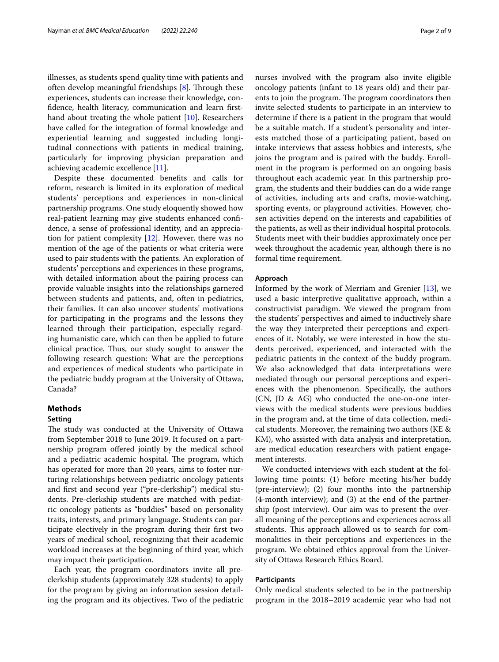illnesses, as students spend quality time with patients and often develop meaningful friendships  $[8]$  $[8]$ . Through these experiences, students can increase their knowledge, confdence, health literacy, communication and learn frsthand about treating the whole patient [[10\]](#page-8-6). Researchers have called for the integration of formal knowledge and experiential learning and suggested including longitudinal connections with patients in medical training, particularly for improving physician preparation and achieving academic excellence [[11\]](#page-8-7).

Despite these documented benefts and calls for reform, research is limited in its exploration of medical students' perceptions and experiences in non-clinical partnership programs. One study eloquently showed how real-patient learning may give students enhanced confdence, a sense of professional identity, and an appreciation for patient complexity [[12\]](#page-8-8). However, there was no mention of the age of the patients or what criteria were used to pair students with the patients. An exploration of students' perceptions and experiences in these programs, with detailed information about the pairing process can provide valuable insights into the relationships garnered between students and patients, and, often in pediatrics, their families. It can also uncover students' motivations for participating in the programs and the lessons they learned through their participation, especially regarding humanistic care, which can then be applied to future clinical practice. Thus, our study sought to answer the following research question: What are the perceptions and experiences of medical students who participate in the pediatric buddy program at the University of Ottawa, Canada?

#### **Methods**

## **Setting**

The study was conducted at the University of Ottawa from September 2018 to June 2019. It focused on a partnership program ofered jointly by the medical school and a pediatric academic hospital. The program, which has operated for more than 20 years, aims to foster nurturing relationships between pediatric oncology patients and frst and second year ("pre-clerkship") medical students. Pre-clerkship students are matched with pediatric oncology patients as "buddies" based on personality traits, interests, and primary language. Students can participate electively in the program during their frst two years of medical school, recognizing that their academic workload increases at the beginning of third year, which may impact their participation.

Each year, the program coordinators invite all preclerkship students (approximately 328 students) to apply for the program by giving an information session detailing the program and its objectives. Two of the pediatric nurses involved with the program also invite eligible oncology patients (infant to 18 years old) and their parents to join the program. The program coordinators then invite selected students to participate in an interview to determine if there is a patient in the program that would be a suitable match. If a student's personality and interests matched those of a participating patient, based on intake interviews that assess hobbies and interests, s/he joins the program and is paired with the buddy. Enrollment in the program is performed on an ongoing basis throughout each academic year. In this partnership program, the students and their buddies can do a wide range of activities, including arts and crafts, movie-watching, sporting events, or playground activities. However, chosen activities depend on the interests and capabilities of the patients, as well as their individual hospital protocols. Students meet with their buddies approximately once per week throughout the academic year, although there is no formal time requirement.

#### **Approach**

Informed by the work of Merriam and Grenier [[13](#page-8-9)], we used a basic interpretive qualitative approach, within a constructivist paradigm. We viewed the program from the students' perspectives and aimed to inductively share the way they interpreted their perceptions and experiences of it. Notably, we were interested in how the students perceived, experienced, and interacted with the pediatric patients in the context of the buddy program. We also acknowledged that data interpretations were mediated through our personal perceptions and experiences with the phenomenon. Specifcally, the authors (CN, JD & AG) who conducted the one-on-one interviews with the medical students were previous buddies in the program and, at the time of data collection, medical students. Moreover, the remaining two authors (KE & KM), who assisted with data analysis and interpretation, are medical education researchers with patient engagement interests.

We conducted interviews with each student at the following time points: (1) before meeting his/her buddy (pre-interview); (2) four months into the partnership (4-month interview); and (3) at the end of the partnership (post interview). Our aim was to present the overall meaning of the perceptions and experiences across all students. This approach allowed us to search for commonalities in their perceptions and experiences in the program. We obtained ethics approval from the University of Ottawa Research Ethics Board.

#### **Participants**

Only medical students selected to be in the partnership program in the 2018–2019 academic year who had not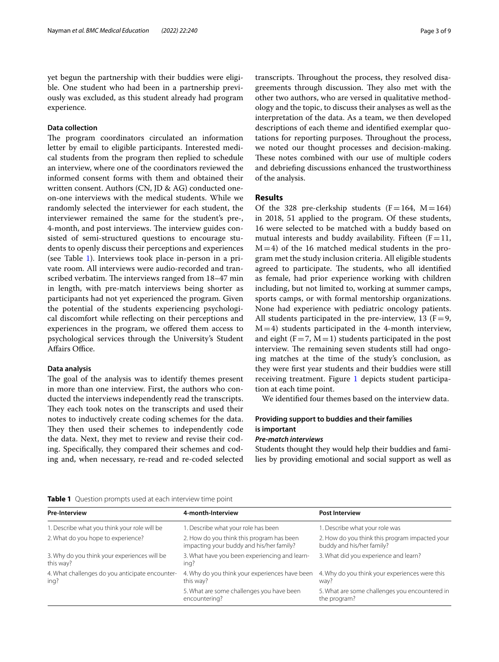yet begun the partnership with their buddies were eligible. One student who had been in a partnership previously was excluded, as this student already had program experience.

## **Data collection**

The program coordinators circulated an information letter by email to eligible participants. Interested medical students from the program then replied to schedule an interview, where one of the coordinators reviewed the informed consent forms with them and obtained their written consent. Authors (CN, JD & AG) conducted oneon-one interviews with the medical students. While we randomly selected the interviewer for each student, the interviewer remained the same for the student's pre-, 4-month, and post interviews. The interview guides consisted of semi-structured questions to encourage students to openly discuss their perceptions and experiences (see Table [1\)](#page-2-0). Interviews took place in-person in a private room. All interviews were audio-recorded and transcribed verbatim. The interviews ranged from 18-47 min in length, with pre-match interviews being shorter as participants had not yet experienced the program. Given the potential of the students experiencing psychological discomfort while refecting on their perceptions and experiences in the program, we ofered them access to psychological services through the University's Student Affairs Office.

#### **Data analysis**

The goal of the analysis was to identify themes present in more than one interview. First, the authors who conducted the interviews independently read the transcripts. They each took notes on the transcripts and used their notes to inductively create coding schemes for the data. They then used their schemes to independently code the data. Next, they met to review and revise their coding. Specifcally, they compared their schemes and coding and, when necessary, re-read and re-coded selected transcripts. Throughout the process, they resolved disagreements through discussion. They also met with the other two authors, who are versed in qualitative methodology and the topic, to discuss their analyses as well as the interpretation of the data. As a team, we then developed descriptions of each theme and identifed exemplar quotations for reporting purposes. Throughout the process, we noted our thought processes and decision-making. These notes combined with our use of multiple coders and debriefng discussions enhanced the trustworthiness of the analysis.

#### **Results**

Of the 328 pre-clerkship students  $(F=164, M=164)$ in 2018, 51 applied to the program. Of these students, 16 were selected to be matched with a buddy based on mutual interests and buddy availability. Fifteen  $(F=11,$  $M=4$ ) of the 16 matched medical students in the program met the study inclusion criteria. All eligible students agreed to participate. The students, who all identified as female, had prior experience working with children including, but not limited to, working at summer camps, sports camps, or with formal mentorship organizations. None had experience with pediatric oncology patients. All students participated in the pre-interview, 13 ( $F=9$ ,  $M=4$ ) students participated in the 4-month interview, and eight  $(F=7, M=1)$  students participated in the post interview. The remaining seven students still had ongoing matches at the time of the study's conclusion, as they were frst year students and their buddies were still receiving treatment. Figure [1](#page-3-0) depicts student participation at each time point.

We identifed four themes based on the interview data.

# **Providing support to buddies and their families is important**

#### *Pre‑match interviews*

Students thought they would help their buddies and families by providing emotional and social support as well as

<span id="page-2-0"></span>

|  |  |  |  |  |  | <b>Table 1</b> Question prompts used at each interview time point |
|--|--|--|--|--|--|-------------------------------------------------------------------|
|--|--|--|--|--|--|-------------------------------------------------------------------|

| <b>Pre-Interview</b>                                      | 4-month-Interview                                                                     | <b>Post Interview</b>                                                       |  |
|-----------------------------------------------------------|---------------------------------------------------------------------------------------|-----------------------------------------------------------------------------|--|
| 1. Describe what you think your role will be              | 1. Describe what your role has been                                                   | 1. Describe what your role was                                              |  |
| 2. What do you hope to experience?                        | 2. How do you think this program has been<br>impacting your buddy and his/her family? | 2. How do you think this program impacted your<br>buddy and his/her family? |  |
| 3. Why do you think your experiences will be<br>this way? | 3. What have you been experiencing and learn-<br>ing?                                 | 3. What did you experience and learn?                                       |  |
| 4. What challenges do you anticipate encounter-<br>ing?   | 4. Why do you think your experiences have been<br>this way?                           | 4. Why do you think your experiences were this<br>way?                      |  |
|                                                           | 5. What are some challenges you have been<br>encountering?                            | 5. What are some challenges you encountered in<br>the program?              |  |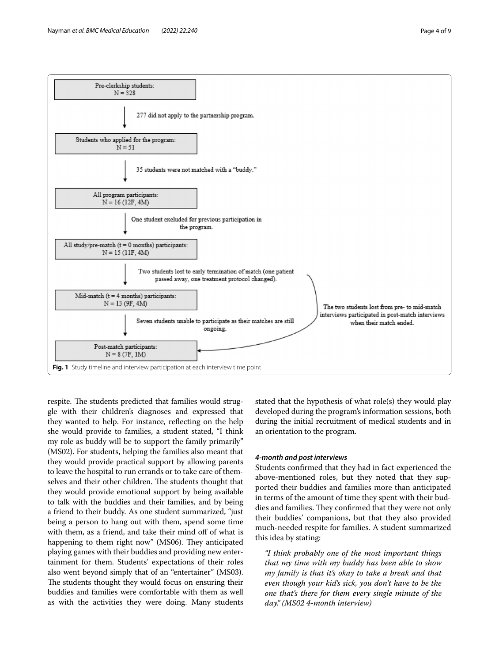

<span id="page-3-0"></span>respite. The students predicted that families would struggle with their children's diagnoses and expressed that they wanted to help. For instance, refecting on the help she would provide to families, a student stated, "I think my role as buddy will be to support the family primarily" (MS02). For students, helping the families also meant that they would provide practical support by allowing parents to leave the hospital to run errands or to take care of themselves and their other children. The students thought that they would provide emotional support by being available to talk with the buddies and their families, and by being a friend to their buddy. As one student summarized, "just being a person to hang out with them, spend some time with them, as a friend, and take their mind off of what is happening to them right now" (MS06). They anticipated playing games with their buddies and providing new entertainment for them. Students' expectations of their roles also went beyond simply that of an "entertainer" (MS03). The students thought they would focus on ensuring their buddies and families were comfortable with them as well as with the activities they were doing. Many students stated that the hypothesis of what role(s) they would play developed during the program's information sessions, both during the initial recruitment of medical students and in an orientation to the program.

#### *4‑month and post interviews*

Students confrmed that they had in fact experienced the above-mentioned roles, but they noted that they supported their buddies and families more than anticipated in terms of the amount of time they spent with their buddies and families. They confirmed that they were not only their buddies' companions, but that they also provided much-needed respite for families. A student summarized this idea by stating:

*"I think probably one of the most important things that my time with my buddy has been able to show my family is that it's okay to take a break and that even though your kid's sick, you don't have to be the one that's there for them every single minute of the day." (MS02 4-month interview)*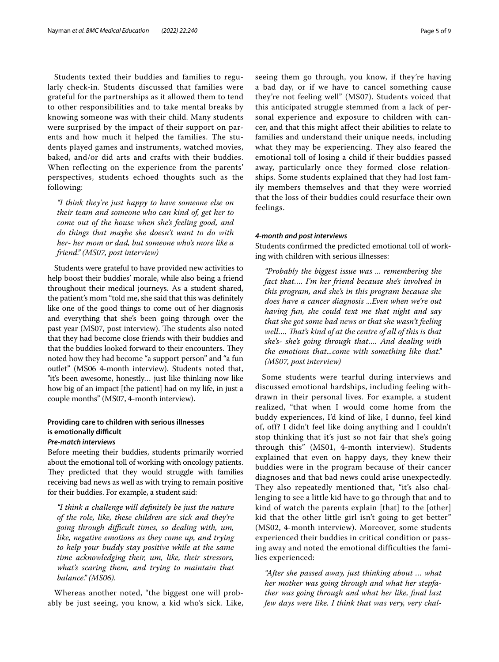Students texted their buddies and families to regularly check-in. Students discussed that families were grateful for the partnerships as it allowed them to tend to other responsibilities and to take mental breaks by knowing someone was with their child. Many students were surprised by the impact of their support on parents and how much it helped the families. The students played games and instruments, watched movies, baked, and/or did arts and crafts with their buddies. When reflecting on the experience from the parents' perspectives, students echoed thoughts such as the following:

*"I think they're just happy to have someone else on their team and someone who can kind of, get her to come out of the house when she's feeling good, and do things that maybe she doesn't want to do with her- her mom or dad, but someone who's more like a friend." (MS07, post interview)*

Students were grateful to have provided new activities to help boost their buddies' morale, while also being a friend throughout their medical journeys. As a student shared, the patient's mom "told me, she said that this was defnitely like one of the good things to come out of her diagnosis and everything that she's been going through over the past year (MS07, post interview). The students also noted that they had become close friends with their buddies and that the buddies looked forward to their encounters. They noted how they had become "a support person" and "a fun outlet" (MS06 4-month interview). Students noted that, "it's been awesome, honestly… just like thinking now like how big of an impact [the patient] had on my life, in just a couple months" (MS07, 4-month interview).

## **Providing care to children with serious illnesses is emotionally difficult** *Pre‑match interviews*

for their buddies. For example, a student said:

# Before meeting their buddies, students primarily worried about the emotional toll of working with oncology patients. They predicted that they would struggle with families receiving bad news as well as with trying to remain positive

*"I think a challenge will defnitely be just the nature of the role, like, these children are sick and they're going through difcult times, so dealing with, um, like, negative emotions as they come up, and trying to help your buddy stay positive while at the same time acknowledging their, um, like, their stressors, what's scaring them, and trying to maintain that balance." (MS06).*

Whereas another noted, "the biggest one will probably be just seeing, you know, a kid who's sick. Like, seeing them go through, you know, if they're having a bad day, or if we have to cancel something cause they're not feeling well" (MS07). Students voiced that this anticipated struggle stemmed from a lack of personal experience and exposure to children with cancer, and that this might affect their abilities to relate to families and understand their unique needs, including what they may be experiencing. They also feared the emotional toll of losing a child if their buddies passed away, particularly once they formed close relationships. Some students explained that they had lost family members themselves and that they were worried that the loss of their buddies could resurface their own feelings.

#### *4‑month and post interviews*

Students confrmed the predicted emotional toll of working with children with serious illnesses:

*"Probably the biggest issue was ... remembering the fact that…. I'm her friend because she's involved in this program, and she's in this program because she does have a cancer diagnosis ...Even when we're out having fun, she could text me that night and say that she got some bad news or that she wasn't feeling well…. Tat's kind of at the centre of all of this is that she's- she's going through that…. And dealing with the emotions that...come with something like that." (MS07, post interview)*

Some students were tearful during interviews and discussed emotional hardships, including feeling withdrawn in their personal lives. For example, a student realized, "that when I would come home from the buddy experiences, I'd kind of like, I dunno, feel kind of, off? I didn't feel like doing anything and I couldn't stop thinking that it's just so not fair that she's going through this" (MS01, 4-month interview). Students explained that even on happy days, they knew their buddies were in the program because of their cancer diagnoses and that bad news could arise unexpectedly. They also repeatedly mentioned that, "it's also challenging to see a little kid have to go through that and to kind of watch the parents explain [that] to the [other] kid that the other little girl isn't going to get better" (MS02, 4-month interview). Moreover, some students experienced their buddies in critical condition or passing away and noted the emotional difficulties the families experienced:

*"After she passed away, just thinking about … what her mother was going through and what her stepfather was going through and what her like, fnal last few days were like. I think that was very, very chal-*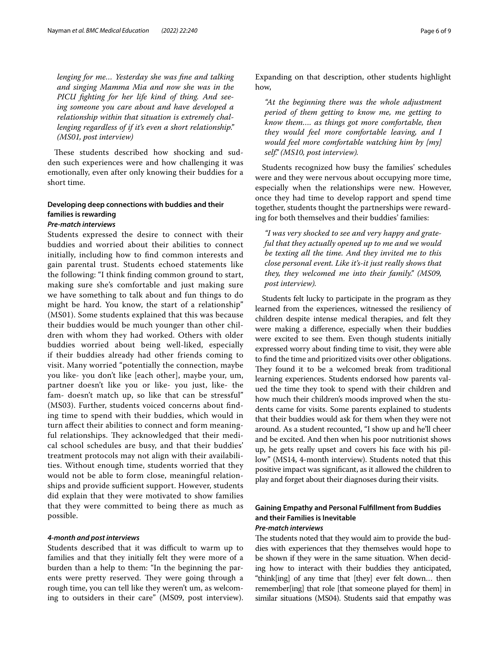*lenging for me… Yesterday she was fne and talking and singing Mamma Mia and now she was in the PICU fghting for her life kind of thing. And seeing someone you care about and have developed a relationship within that situation is extremely challenging regardless of if it's even a short relationship." (MS01, post interview)*

These students described how shocking and sudden such experiences were and how challenging it was emotionally, even after only knowing their buddies for a short time.

# **Developing deep connections with buddies and their families is rewarding**

# *Pre‑match interviews*

Students expressed the desire to connect with their buddies and worried about their abilities to connect initially, including how to fnd common interests and gain parental trust. Students echoed statements like the following: "I think fnding common ground to start, making sure she's comfortable and just making sure we have something to talk about and fun things to do might be hard. You know, the start of a relationship" (MS01). Some students explained that this was because their buddies would be much younger than other children with whom they had worked. Others with older buddies worried about being well-liked, especially if their buddies already had other friends coming to visit. Many worried "potentially the connection, maybe you like- you don't like [each other], maybe your, um, partner doesn't like you or like- you just, like- the fam- doesn't match up, so like that can be stressful" (MS03). Further, students voiced concerns about fnding time to spend with their buddies, which would in turn afect their abilities to connect and form meaningful relationships. They acknowledged that their medical school schedules are busy, and that their buddies' treatment protocols may not align with their availabilities. Without enough time, students worried that they would not be able to form close, meaningful relationships and provide sufficient support. However, students did explain that they were motivated to show families that they were committed to being there as much as possible.

## *4‑month and post interviews*

Students described that it was difficult to warm up to families and that they initially felt they were more of a burden than a help to them: "In the beginning the parents were pretty reserved. They were going through a rough time, you can tell like they weren't um, as welcoming to outsiders in their care" (MS09, post interview). Expanding on that description, other students highlight how,

*"At the beginning there was the whole adjustment period of them getting to know me, me getting to know them…. as things got more comfortable, then they would feel more comfortable leaving, and I would feel more comfortable watching him by [my] self." (MS10, post interview).*

Students recognized how busy the families' schedules were and they were nervous about occupying more time, especially when the relationships were new. However, once they had time to develop rapport and spend time together, students thought the partnerships were rewarding for both themselves and their buddies' families:

*"I was very shocked to see and very happy and grateful that they actually opened up to me and we would be texting all the time. And they invited me to this close personal event. Like it's-it just really shows that they, they welcomed me into their family." (MS09, post interview).*

Students felt lucky to participate in the program as they learned from the experiences, witnessed the resiliency of children despite intense medical therapies, and felt they were making a diference, especially when their buddies were excited to see them. Even though students initially expressed worry about fnding time to visit, they were able to fnd the time and prioritized visits over other obligations. They found it to be a welcomed break from traditional learning experiences. Students endorsed how parents valued the time they took to spend with their children and how much their children's moods improved when the students came for visits. Some parents explained to students that their buddies would ask for them when they were not around. As a student recounted, "I show up and he'll cheer and be excited. And then when his poor nutritionist shows up, he gets really upset and covers his face with his pillow" (MS14, 4-month interview). Students noted that this positive impact was signifcant, as it allowed the children to play and forget about their diagnoses during their visits.

## **Gaining Empathy and Personal Fulfllment from Buddies and their Families is Inevitable** *Pre‑match interviews*

The students noted that they would aim to provide the buddies with experiences that they themselves would hope to be shown if they were in the same situation. When deciding how to interact with their buddies they anticipated, "think[ing] of any time that [they] ever felt down… then remember[ing] that role [that someone played for them] in similar situations (MS04). Students said that empathy was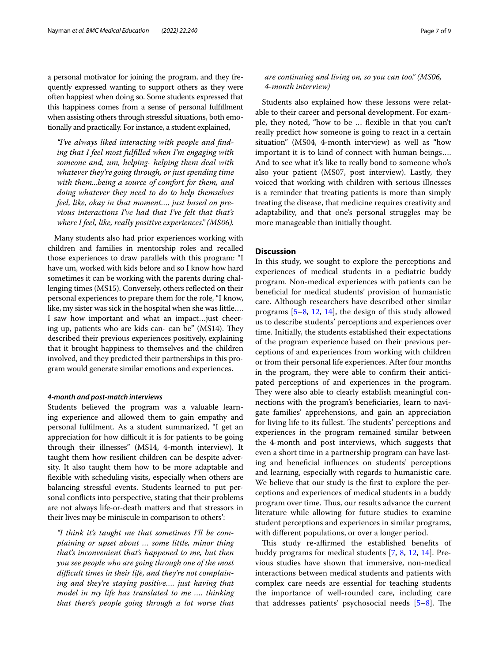a personal motivator for joining the program, and they frequently expressed wanting to support others as they were often happiest when doing so. Some students expressed that this happiness comes from a sense of personal fulfllment when assisting others through stressful situations, both emotionally and practically. For instance, a student explained,

*"I've always liked interacting with people and fnding that I feel most fulflled when I'm engaging with someone and, um, helping- helping them deal with whatever they're going through, or just spending time with them...being a source of comfort for them, and doing whatever they need to do to help themselves feel, like, okay in that moment…. just based on previous interactions I've had that I've felt that that's where I feel, like, really positive experiences." (MS06).*

Many students also had prior experiences working with children and families in mentorship roles and recalled those experiences to draw parallels with this program: "I have um, worked with kids before and so I know how hard sometimes it can be working with the parents during challenging times (MS15). Conversely, others refected on their personal experiences to prepare them for the role, "I know, like, my sister was sick in the hospital when she was little…. I saw how important and what an impact…just cheering up, patients who are kids can- can be" (MS14). They described their previous experiences positively, explaining that it brought happiness to themselves and the children involved, and they predicted their partnerships in this program would generate similar emotions and experiences.

#### *4‑month and post‑match interviews*

Students believed the program was a valuable learning experience and allowed them to gain empathy and personal fulflment. As a student summarized, "I get an appreciation for how difficult it is for patients to be going through their illnesses" (MS14, 4-month interview). It taught them how resilient children can be despite adversity. It also taught them how to be more adaptable and fexible with scheduling visits, especially when others are balancing stressful events. Students learned to put personal conficts into perspective, stating that their problems are not always life-or-death matters and that stressors in their lives may be miniscule in comparison to others':

*"I think it's taught me that sometimes I'll be complaining or upset about … some little, minor thing that's inconvenient that's happened to me, but then you see people who are going through one of the most difcult times in their life, and they're not complaining and they're staying positive…. just having that model in my life has translated to me …. thinking that there's people going through a lot worse that* 

## *are continuing and living on, so you can too." (MS06, 4-month interview)*

Students also explained how these lessons were relatable to their career and personal development. For example, they noted, "how to be … fexible in that you can't really predict how someone is going to react in a certain situation" (MS04, 4-month interview) as well as "how important it is to kind of connect with human beings…. And to see what it's like to really bond to someone who's also your patient (MS07, post interview). Lastly, they voiced that working with children with serious illnesses is a reminder that treating patients is more than simply treating the disease, that medicine requires creativity and adaptability, and that one's personal struggles may be more manageable than initially thought.

## **Discussion**

In this study, we sought to explore the perceptions and experiences of medical students in a pediatric buddy program. Non-medical experiences with patients can be benefcial for medical students' provision of humanistic care. Although researchers have described other similar programs [\[5](#page-8-2)[–8](#page-8-3), [12,](#page-8-8) [14\]](#page-8-10), the design of this study allowed us to describe students' perceptions and experiences over time. Initially, the students established their expectations of the program experience based on their previous perceptions of and experiences from working with children or from their personal life experiences. After four months in the program, they were able to confrm their anticipated perceptions of and experiences in the program. They were also able to clearly establish meaningful connections with the program's benefciaries, learn to navigate families' apprehensions, and gain an appreciation for living life to its fullest. The students' perceptions and experiences in the program remained similar between the 4-month and post interviews, which suggests that even a short time in a partnership program can have lasting and benefcial infuences on students' perceptions and learning, especially with regards to humanistic care. We believe that our study is the frst to explore the perceptions and experiences of medical students in a buddy program over time. Thus, our results advance the current literature while allowing for future studies to examine student perceptions and experiences in similar programs, with diferent populations, or over a longer period.

This study re-affirmed the established benefits of buddy programs for medical students [\[7,](#page-8-11) [8](#page-8-3), [12](#page-8-8), [14\]](#page-8-10). Previous studies have shown that immersive, non-medical interactions between medical students and patients with complex care needs are essential for teaching students the importance of well-rounded care, including care that addresses patients' psychosocial needs  $[5-8]$  $[5-8]$ . The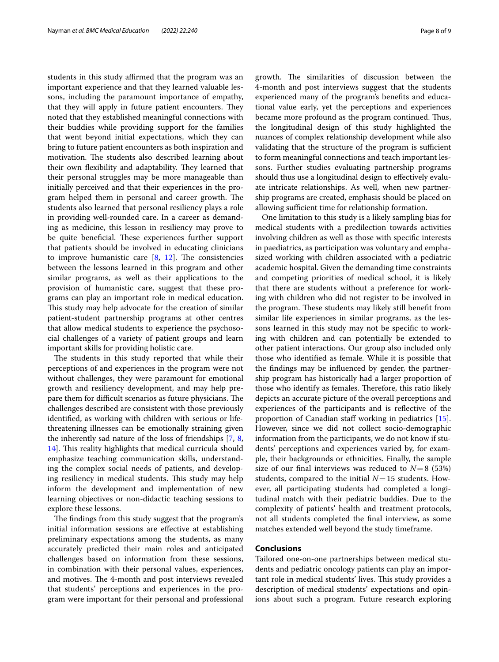students in this study affirmed that the program was an important experience and that they learned valuable lessons, including the paramount importance of empathy, that they will apply in future patient encounters. They noted that they established meaningful connections with their buddies while providing support for the families that went beyond initial expectations, which they can bring to future patient encounters as both inspiration and motivation. The students also described learning about their own flexibility and adaptability. They learned that their personal struggles may be more manageable than initially perceived and that their experiences in the program helped them in personal and career growth. The students also learned that personal resiliency plays a role in providing well-rounded care. In a career as demanding as medicine, this lesson in resiliency may prove to be quite beneficial. These experiences further support that patients should be involved in educating clinicians to improve humanistic care  $[8, 12]$  $[8, 12]$  $[8, 12]$  $[8, 12]$ . The consistencies between the lessons learned in this program and other similar programs, as well as their applications to the provision of humanistic care, suggest that these programs can play an important role in medical education. This study may help advocate for the creation of similar patient-student partnership programs at other centres that allow medical students to experience the psychosocial challenges of a variety of patient groups and learn important skills for providing holistic care.

The students in this study reported that while their perceptions of and experiences in the program were not without challenges, they were paramount for emotional growth and resiliency development, and may help prepare them for difficult scenarios as future physicians. The challenges described are consistent with those previously identifed, as working with children with serious or lifethreatening illnesses can be emotionally straining given the inherently sad nature of the loss of friendships [\[7](#page-8-11), [8](#page-8-3), [14\]](#page-8-10). This reality highlights that medical curricula should emphasize teaching communication skills, understanding the complex social needs of patients, and developing resiliency in medical students. This study may help inform the development and implementation of new learning objectives or non-didactic teaching sessions to explore these lessons.

The findings from this study suggest that the program's initial information sessions are efective at establishing preliminary expectations among the students, as many accurately predicted their main roles and anticipated challenges based on information from these sessions, in combination with their personal values, experiences, and motives. The 4-month and post interviews revealed that students' perceptions and experiences in the program were important for their personal and professional growth. The similarities of discussion between the 4-month and post interviews suggest that the students experienced many of the program's benefts and educational value early, yet the perceptions and experiences became more profound as the program continued. Thus, the longitudinal design of this study highlighted the nuances of complex relationship development while also validating that the structure of the program is sufficient to form meaningful connections and teach important lessons. Further studies evaluating partnership programs should thus use a longitudinal design to efectively evaluate intricate relationships. As well, when new partnership programs are created, emphasis should be placed on allowing sufficient time for relationship formation.

One limitation to this study is a likely sampling bias for medical students with a predilection towards activities involving children as well as those with specifc interests in paediatrics, as participation was voluntary and emphasized working with children associated with a pediatric academic hospital. Given the demanding time constraints and competing priorities of medical school, it is likely that there are students without a preference for working with children who did not register to be involved in the program. These students may likely still benefit from similar life experiences in similar programs, as the lessons learned in this study may not be specifc to working with children and can potentially be extended to other patient interactions. Our group also included only those who identifed as female. While it is possible that the fndings may be infuenced by gender, the partnership program has historically had a larger proportion of those who identify as females. Therefore, this ratio likely depicts an accurate picture of the overall perceptions and experiences of the participants and is refective of the proportion of Canadian staff working in pediatrics [\[15](#page-8-12)]. However, since we did not collect socio-demographic information from the participants, we do not know if students' perceptions and experiences varied by, for example, their backgrounds or ethnicities. Finally, the sample size of our final interviews was reduced to  $N=8$  (53%) students, compared to the initial  $N=15$  students. However, all participating students had completed a longitudinal match with their pediatric buddies. Due to the complexity of patients' health and treatment protocols, not all students completed the fnal interview, as some matches extended well beyond the study timeframe.

#### **Conclusions**

Tailored one-on-one partnerships between medical students and pediatric oncology patients can play an important role in medical students' lives. This study provides a description of medical students' expectations and opinions about such a program. Future research exploring